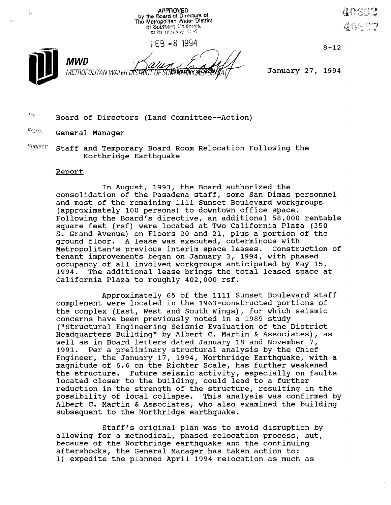

 $FEB - 8$  1994  $8-12$ 



MWD

METROPOLITAN WATER DISTRICT OF SOUTHANDE SECTION MAY TRIANGLE January 27, 1994

 $T$ o: Board of Directors (Land Committee--Action)

From: **General Manager** 

 $Subject:$  Staff and Temporary Board Room Relocation Following the Northridge Earthquake

## Report

In August, 1993, the Board authorized the consolidation of the Pasadena staff, some San Dimas personnel and most of the remaining 1111 Sunset Boulevard workgroups (approximately 100 persons) to downtown office space. Following the Board's directive, an additional 58,000 rentable square feet (rsf) were located at Two California Plaza (350 S. Grand Avenue) on Floors 20 and 21, plus a portion of the ground floor. A lease was executed, coterminous with Metropolitan's previous interim space leases. Construction of tenant improvements began on January 3, 1994, with phased occupancy of all involved workgroups anticipated by May 15, 1994. The additional lease brings the total leased space at California Plaza to roughly 402,000 rsf.

Approximately 65 of the 1111 Sunset Boulevard staff complement were located in the 1963-constructed portions of the complex (East, West and South Wings), for which seismic concerns have been previously noted in a 1989 study (I'Structural Engineering Seismic Evaluation of the District Headquarters Building" by Albert C. Martin & Associates), as well as in Board letters dated January 18 and November 7, 1991. Per a preliminary structural analysis by the Chief Engineer, the January 17, 1994, Northridge Earthquake, with a magnitude of 6.6 on the Bighter Scale, has further weakened maynitude of 0.0 On the Alther Budie, has further weakened located closes to the building, could lead to a funth reduction in the strength of the structure, resulting in the reduction in the strength of the structure, resulting in the<br>possibility of local collapse. This analysis was confirmed by possibility of focal collapse. This analysis was confirmed<br>Albert C. Martin & Associates, who also examined the buildi subsequent to the Northeridge earthquake.<br>Albertuake to the Northeridge earthquak

 $\sigma$  states or  $\sigma$  original plan was to avoid disturbed on by allowing for a methodical, phased relocation process, but, allowing for a methodical, phased relocation process, but, because of the Northridge earthquake and the continuing aftershocks, the General Manager has taken action to:<br>1) expedite the planned April 1994 relocation as much as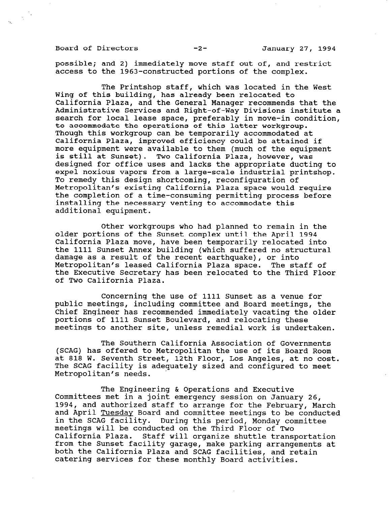Board of Directors -2- January 27, 1994

possible; and 2) immediately move staff out of, and restrict access to the 1963-constructed portions of the complex.

The Printshop staff, which was located in the West Wing of this building, has already been relocated to California Plaza, and the General Manager recommends that the Administrative Services and Right-of-Way Divisions institute a search for local lease space, preferably in move-in condition, to accommodate the operations of this latter Workgroup. Though this workgroup can be temporarily accommodated at California Plaza, improved efficiency could be attained if more equipment were available to them (much of the equipment is still at Sunset). Two California Plaza, however, was designed for office uses and lacks the appropriate ducting to expel noxious vapors from a large-scale industrial printshop. To remedy this design shortcoming, reconfiguration of Metropolitan's existing California Plaza space would require the completion of a time-consuming permitting process before installing the necessary venting to accommodate this additional equipment.

Other workgroups who had planned to remain in the older portions of the Sunset complex until the April 1994 California Plaza move, have been temporarily relocated into the 1111 Sunset Annex building (which suffered no structural damage as a result of the recent earthquake), or into Metropolitan's leased California Plaza space. The staff of the Executive Secretary has been relocated to the Third Floor of Two California Plaza.

Concerning the use of 1111 Sunset as a venue for public meetings, including committee and Board meetings, the Chief Engineer has recommended immediately vacating the older portions of 1111 Sunset Boulevard, and relocating these meetings to another site, unless remedial work is undertaken.

The Southern California Association of Governments (SCAG) has offered to Metropolitan the use of its Board Room at 818 W. Seventh Street, 12th Floor, Los Angeles, at no cost. at 818 W. Seventh Street, 12th Floor, Los Angeles, at no cost. The SCAG facility is adequately sized and configured to meet<br>Metropolitan's needs.

The Engineering & Operations and Executive INE ENGINEELING & OPERACIONS AND EXECULIVE committees met in a joint emergency session on January 20,<br>1994, and authorized staff to account for the February, March 1994, and authorized staff to arrange for the February, March<br>and April Tuesday Board and committee meetings to be conducted and April <u>Idesday</u> board and committee meetings to be condensed. in the scat facility. During this period, monday con meetings will be conducted on the finite floor of two<br>California Plaza... Staff will be in the shuttle transportation california riaza. Staff will organize snuttle transportation<br>from the Sunset facility were attracted. from the Sunset facility garage, make parking arrangements at both the California Plaza and SCAG facilities, and retain catering services for these monthly Board activities.